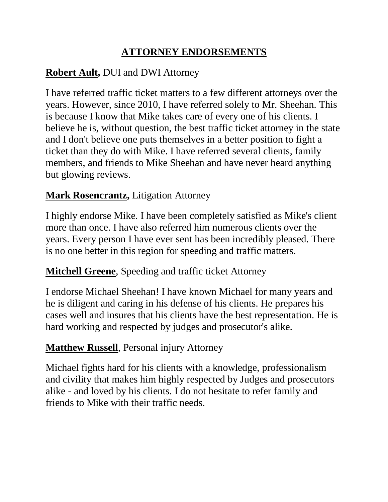# **ATTORNEY ENDORSEMENTS**

## **Robert Ault,** DUI and DWI Attorney

I have referred traffic ticket matters to a few different attorneys over the years. However, since 2010, I have referred solely to Mr. Sheehan. This is because I know that Mike takes care of every one of his clients. I believe he is, without question, the best traffic ticket attorney in the state and I don't believe one puts themselves in a better position to fight a ticket than they do with Mike. I have referred several clients, family members, and friends to Mike Sheehan and have never heard anything but glowing reviews.

### **Mark Rosencrantz,** Litigation Attorney

I highly endorse Mike. I have been completely satisfied as Mike's client more than once. I have also referred him numerous clients over the years. Every person I have ever sent has been incredibly pleased. There is no one better in this region for speeding and traffic matters.

### **[Mitchell Greene](https://www.avvo.com/attorneys/98138-wa-mitchell-greene-22888.html)**, Speeding and traffic ticket Attorney

I endorse Michael Sheehan! I have known Michael for many years and he is diligent and caring in his defense of his clients. He prepares his cases well and insures that his clients have the best representation. He is hard working and respected by judges and prosecutor's alike.

### **Matthew Russell**, Personal injury Attorney

Michael fights hard for his clients with a knowledge, professionalism and civility that makes him highly respected by Judges and prosecutors alike - and loved by his clients. I do not hesitate to refer family and friends to Mike with their traffic needs.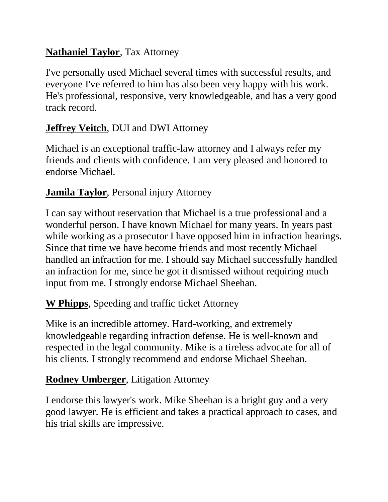## **Nathaniel Taylor**, Tax Attorney

I've personally used Michael several times with successful results, and everyone I've referred to him has also been very happy with his work. He's professional, responsive, very knowledgeable, and has a very good track record.

## **Jeffrey Veitch**, DUI and DWI Attorney

Michael is an exceptional traffic-law attorney and I always refer my friends and clients with confidence. I am very pleased and honored to endorse Michael.

## **Jamila Taylor**, Personal injury Attorney

I can say without reservation that Michael is a true professional and a wonderful person. I have known Michael for many years. In years past while working as a prosecutor I have opposed him in infraction hearings. Since that time we have become friends and most recently Michael handled an infraction for me. I should say Michael successfully handled an infraction for me, since he got it dismissed without requiring much input from me. I strongly endorse Michael Sheehan.

### **W Phipps**, Speeding and traffic ticket Attorney

Mike is an incredible attorney. Hard-working, and extremely knowledgeable regarding infraction defense. He is well-known and respected in the legal community. Mike is a tireless advocate for all of his clients. I strongly recommend and endorse Michael Sheehan.

### **Rodney Umberger**, Litigation Attorney

I endorse this lawyer's work. Mike Sheehan is a bright guy and a very good lawyer. He is efficient and takes a practical approach to cases, and his trial skills are impressive.